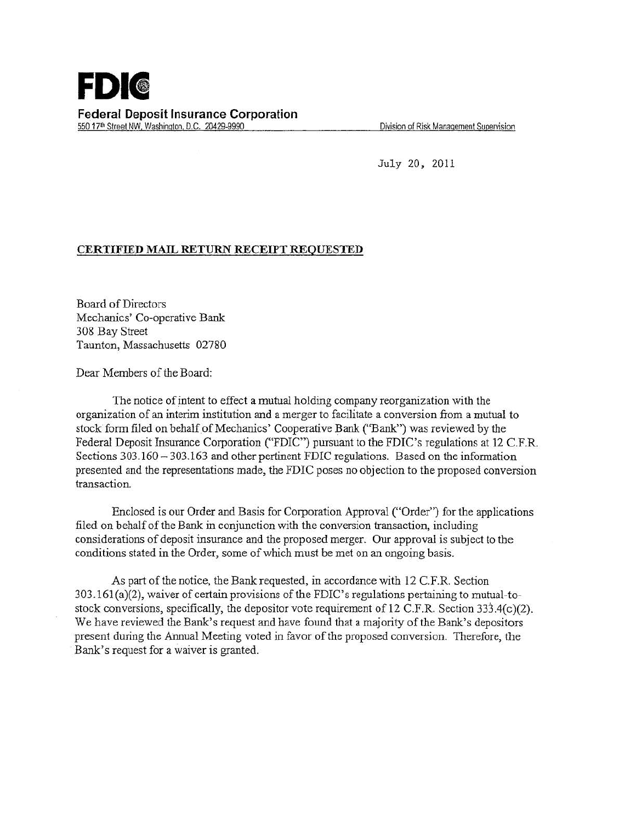

Division of Risk Management Supervision

July 20, 2011

## CERTIFIED MAIL RETURN RECEIPT REQUESTED

Board of Directors Mechanics' Co-operative Bank 308 Bay Street Taunton, Massachusetts 02780

Dear Members of the Board:

The notice of intent to effect a mutual holding company reorganization with the organization of an interim institution and a merger to facilitate a conversion from a mutual to stock form filed on behalf of Mechanics' Cooperative Bank ("Bank") was reviewed by the Federal Deposit Insurance Corporation ("FDIC") pursuant to the FDIC's regulations at 12 C.F.R. Sections 303.160 - 303.163 and other pertinent FDIC regulations. Based on the information presented and the representations made, the FDIC poses no objection to the proposed conversion transaction.

Enclosed is our Order and Basis for Corporation Approval ("Order") for the applications filed on behalf of the Bank in conjunction with the conversion transaction, including considerations of deposit insurance and the proposed merger. Our approval is subject to the conditions stated in the Order, some of which must be met on an ongoing basis.

As part of the notice, the Bank requested, in accordance with 12 C.F.R. Section 303.161 (a)(2), waiver of certain provisions of the FDIC's regulations pertaining to mutual-tostock conversions, specifically, the depositor vote requirement of  $12$  C.F.R. Section 333.4(c)(2). We have reviewed the Bank's request and have found that a majority of the Bank's depositors present during the Annual Meeting voted in favor of the proposed conversion. Therefore, the Bank's request for a waiver is granted.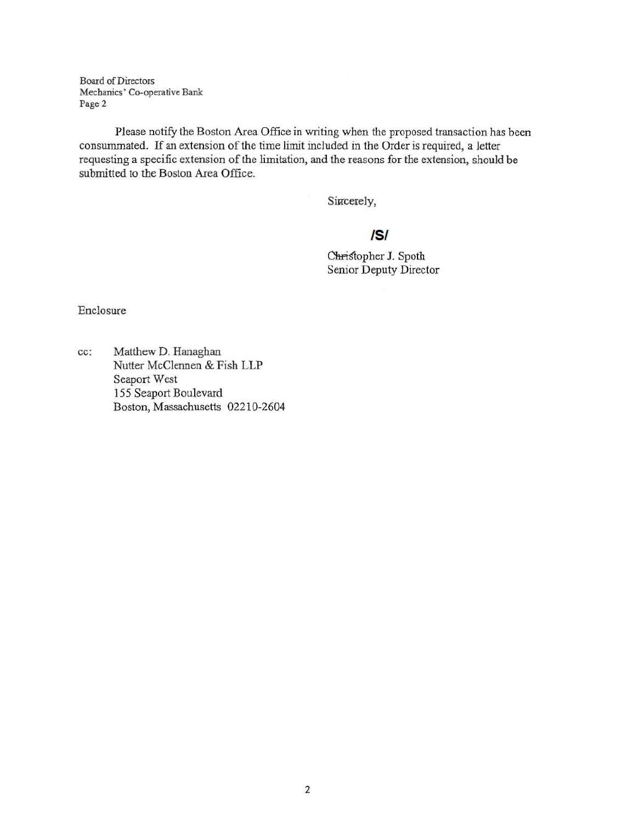Board of Directors Mechanics' Co-operative Bank Page2

Please notify the Boston Area Office in writing when the proposed transaction has been consummated. If an extension of the time limit included in the Order is required, a letter requesting a specific extension of the limitation, and the reasons for the extension, should be submitted to the Boston Area Office.

Sincerely,

## IS/

Chris'topher J. Spoth Senior Deputy Director

Enclosure

cc: Matthew D. Hanaghan Nutter McClennen & Fish LLP Seaport West 155 Seaport Boulevard Boston, Massachusetts 02210-2604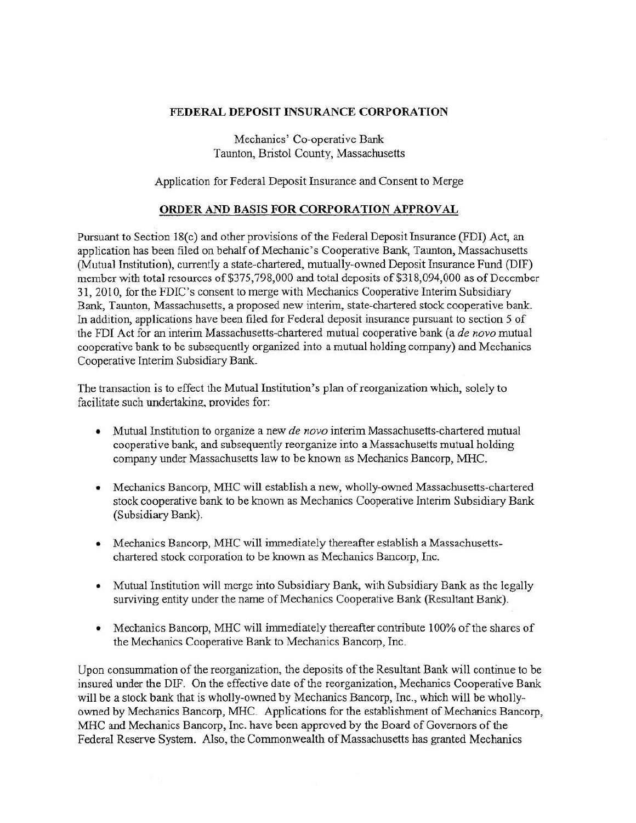## FEDERAL DEPOSIT INSURANCE CORPORATION

Mechanics' Co-operative Bank Taunton, Bristol County, Massachusetts

Application for Federal Deposit Insurance and Consent to Merge

## ORDER AND BASIS FOR CORPORATION APPROVAL

Pursuant to Section 18(c) and other provisions of the Federal Deposit Insurance (FDI) Act, an application has been filed on behalf of Mechanic 's Cooperative Bank, Taunton, Massachusetts (Mutual Institution), currently a state-chartered, mutually-owned Deposit Insurance Fund (DIF) member with total resources of \$375,798,000 and total deposits of \$318,094,000 as of December 31, 2010, for the FDIC's consent to merge with Mechanics Cooperative Interim Subsidiary Bank, Taunton, Massachusetts, a proposed new interim, state-chartered stock cooperative bank. In addition, applications have been filed for Federal deposit insurance pursuant to section *5* of the FDI Act for an interim Massachusetts-chartered mutual cooperative bank (a *de novo* mutual cooperative bank to be subsequently organized into a mutual holding company) and Mechanics Cooperative Interim Subsidiary Bank.

The transaction is to effect the Mutual Institution's plan of reorganization which, solely to facilitate such undertaking, provides for:

- Mutual Institution to organize a new *de novo* interim Massachusetts-chartered mutual cooperative bank, and subsequently reorganize into a Massachusetts mutual holding company under Massachusetts law to be known as Mechanics Bancorp, MHC.
- Mechanics Bancorp, MHC will establish a new, wholly-owned Massachusetts-chartered stock cooperative bank to be known as Mechanics Cooperative Interim Subsidiary Bank (Subsidiary Bank).
- Mechanics Bancorp, MHC will immediately thereafter establish a Massachusettschartered stock corporation to be known as Mechanics Bancorp, Inc.
- Mutual Institution will merge into Subsidiary Bank, with Subsidiary Bank as the legally surviving entity under the name of Mechanics Cooperative Bank (Resultant Bank).
- Mechanics Bancorp, MHC will immediately thereafter contribute 100% of the shares of the Mechanics Cooperative Bank to Mechanics Bancorp, Inc.

Upon consummation of the reorganization, the deposits of the Resultant Bank will continue to be insured under the DIF. On the effective date of the reorganization, Mechanics Cooperative Bank will be a stock bank that is wholly-owned by Mechanics Bancorp, Inc., which will be whollyowned by Mechanics Bancorp, MHC. Applications for the establishment of Mechanics Bancorp, MHC and Mechanics Bancorp, Inc. have been approved by the Board of Governors of the Federal Reserve System. Also, the Commonwealth of Massachusetts has granted Mechanics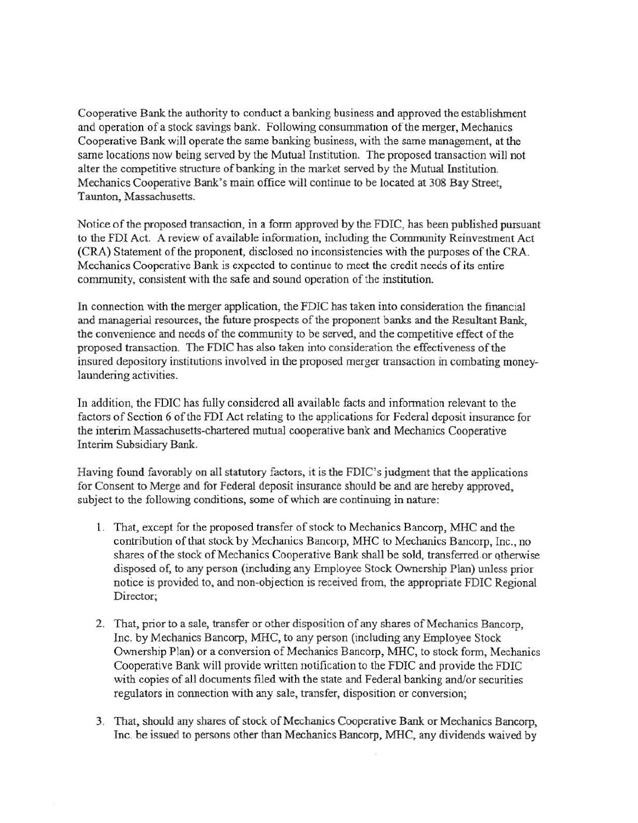Cooperative Bank the authority to conduct a banking business and approved the establishment and operation of a stock savings bank. Following consummation of the merger, Mechanics Cooperative Bank will operate the same banking business, with the same management, at the same locations now being served by the Mutual Institution. The proposed transaction will not alter the competitive structure of banking in the market served by the Mutual Institution. Mechanics Cooperative Bank's main office will continue to be located at 308 Bay Street, Taunton, Massachusetts.

Notice of the proposed transaction, in a form approved by the FDIC, has been published pursuant to the FDI Act. A review of available information, including the Community Reinvestment Act (CRA) Statement of the proponent, disclosed no inconsistencies with the purposes of the CRA. Mechanics Cooperative Bank is expected to continue to meet the credit needs of its entire community, consistent with the safe and sound operation of the institution.

In connection with the merger application, the FDIC has taken into consideration the financial and managerial resources, the future prospects of the proponent banks and the Resultant Bank, the convenience and needs of the community to be served, and the competitive effect of the proposed transaction. The FDIC has also taken into consideration the effectiveness of the insured depository institutions involved in the proposed merger transaction in combating moneylaundering activities.

In addition, the FDIC has fully considered all available facts and information relevant to the factors of Section 6 of the FDI Act relating to the applications for Federal deposit insurance for the interim Massachusetts-chartered mutual cooperative bank and Mechanics Cooperative Interim Subsidiary Bank.

Having found favorably on all statutory factors, it is the FDIC's judgment that the applications for Consent to Merge and for Federal deposit insurance should be and are hereby approved, subject to the following conditions, some of which are continuing in nature:

- 1. That, except for the proposed transfer of stock to Mechanics Bancorp, MHC and the contribution of that stock by Mechanics Bancorp, MHC to Mechanics Bancorp, Inc., no shares of the stock of Mechanics Cooperative Bank shall be sold, transferred or otherwise disposed of, to any person (including any Employee Stock Ownership Plan) unless prior notice is provided to, and non-objection is received from, the appropriate FDIC Regional Director;
- 2. That, prior to a sale, transfer or other disposition of any shares of Mechanics Bancorp, Inc. by Mechanics Bancorp, MHC, to any person (including any Employee Stock Ownership Plan) or a conversion of Mechanics Bancorp, MHC, to stock form, Mechanics Cooperative Bank will provide written notification to the FDIC and provide the FDIC · with copies of all documents filed with the state and Federal banking and/or securities regulators in connection with any sale, transfer, disposition or conversion;
- 3. That, should any shares of stock of Mechanics Cooperative Bank or Mechanics Bancorp, Inc. be issued to persons other than Mechanics Bancorp, MHC, any dividends waived by